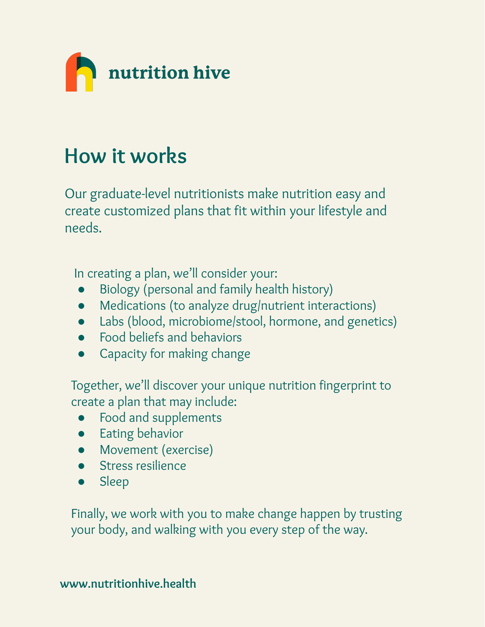

## **How it works**

Our graduate-level nutritionists make nutrition easy and create customized plans that fit within your lifestyle and needs.

In creating a plan, we'll consider your:

- Biology (personal and family health history)
- Medications (to analyze drug/nutrient interactions)
- Labs (blood, microbiome/stool, hormone, and genetics)
- Food beliefs and behaviors
- Capacity for making change

Together, we'll discover your unique nutrition fingerprint to create a plan that may include:

- Food and supplements
- Eating behavior
- Movement (exercise)
- Stress resilience
- Sleep

Finally, we work with you to make change happen by trusting your body, and walking with you every step of the way.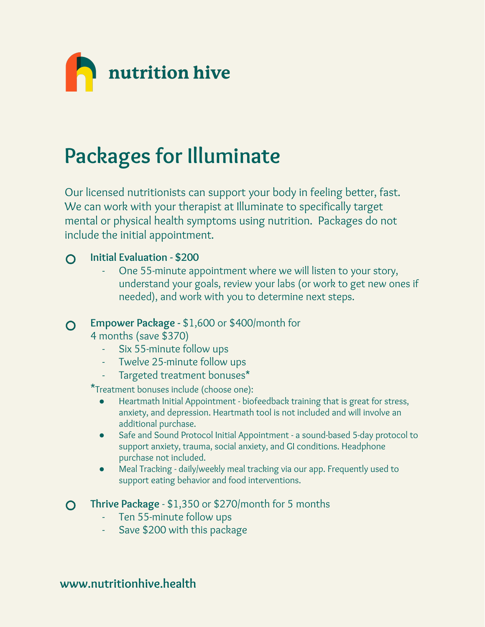

# **Packages for Illuminate**

Our licensed nutritionists can support your body in feeling better, fast. We can work with your therapist at Illuminate to specifically target mental or physical health symptoms using nutrition. Packages do not include the initial appointment.

#### **Initial Evaluation - \$200**  $\Omega$

One 55-minute appointment where we will listen to your story, understand your goals, review your labs (or work to get new ones if needed), and work with you to determine next steps.

#### **Empower Package -** \$1,600 or \$400/month for  $\overline{O}$

4 months (save \$370)

- Six 55-minute follow ups
- Twelve 25-minute follow ups
- Targeted treatment bonuses\*

\*Treatment bonuses include (choose one):

- Heartmath Initial Appointment biofeedback training that is great for stress, anxiety, and depression. Heartmath tool is not included and will involve an additional purchase.
- Safe and Sound Protocol Initial Appointment a sound-based 5-day protocol to support anxiety, trauma, social anxiety, and GI conditions. Headphone purchase not included.
- Meal Tracking daily/weekly meal tracking via our app. Frequently used to support eating behavior and food interventions.

**Thrive Package** - \$1,350 or \$270/month for 5 months  $\Omega$ 

- Ten 55-minute follow ups
- Save \$200 with this package

### **[www.nutritionhive.health](http://www.nutritionhive.health)**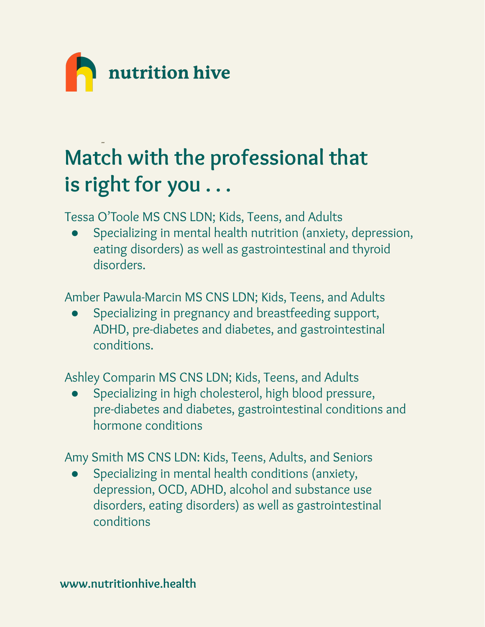

## - **Match with the professional that is right for you . . .**

Tessa O'Toole MS CNS LDN; Kids, Teens, and Adults

Specializing in mental health nutrition (anxiety, depression, eating disorders) as well as gastrointestinal and thyroid disorders.

Amber Pawula-Marcin MS CNS LDN; Kids, Teens, and Adults

Specializing in pregnancy and breastfeeding support, ADHD, pre-diabetes and diabetes, and gastrointestinal conditions.

Ashley Comparin MS CNS LDN; Kids, Teens, and Adults

Specializing in high cholesterol, high blood pressure, pre-diabetes and diabetes, gastrointestinal conditions and hormone conditions

Amy Smith MS CNS LDN: Kids, Teens, Adults, and Seniors

Specializing in mental health conditions (anxiety, depression, OCD, ADHD, alcohol and substance use disorders, eating disorders) as well as gastrointestinal conditions